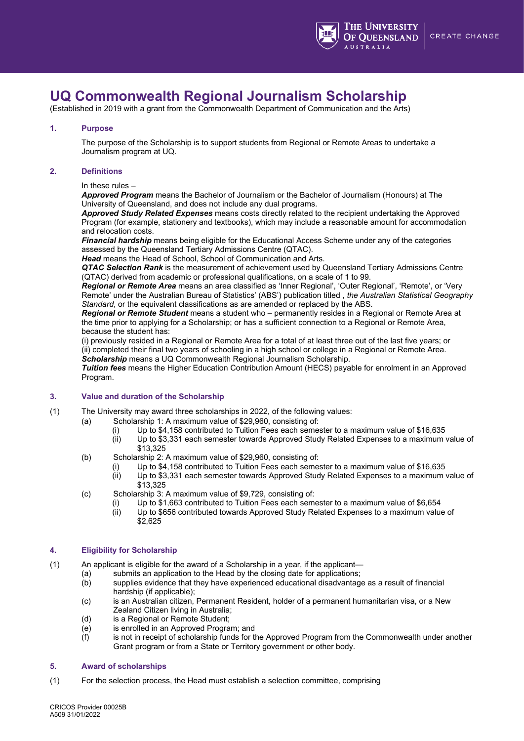

# **UQ Commonwealth Regional Journalism Scholarship**

(Established in 2019 with a grant from the Commonwealth Department of Communication and the Arts)

## **1. Purpose**

The purpose of the Scholarship is to support students from Regional or Remote Areas to undertake a Journalism program at UQ.

## **2. Definitions**

#### In these rules –

*Approved Program* means the Bachelor of Journalism or the Bachelor of Journalism (Honours) at The University of Queensland, and does not include any dual programs.

*Approved Study Related Expenses* means costs directly related to the recipient undertaking the Approved Program (for example, stationery and textbooks), which may include a reasonable amount for accommodation and relocation costs.

*Financial hardship* means being eligible for the Educational Access Scheme under any of the categories assessed by the Queensland Tertiary Admissions Centre (QTAC).

*Head* means the Head of School, School of Communication and Arts.

*QTAC Selection Rank* is the measurement of achievement used by Queensland Tertiary Admissions Centre (QTAC) derived from academic or professional qualifications, on a scale of 1 to 99.

*Regional or Remote Area* means an area classified as 'Inner Regional', 'Outer Regional', 'Remote', or 'Very Remote' under the Australian Bureau of Statistics' (ABS') publication titled , *the Australian Statistical Geography Standard*, or the equivalent classifications as are amended or replaced by the ABS.

*Regional or Remote Student* means a student who – permanently resides in a Regional or Remote Area at the time prior to applying for a Scholarship; or has a sufficient connection to a Regional or Remote Area, because the student has:

(i) previously resided in a Regional or Remote Area for a total of at least three out of the last five years; or (ii) completed their final two years of schooling in a high school or college in a Regional or Remote Area. *Scholarship* means a UQ Commonwealth Regional Journalism Scholarship.

*Tuition fees* means the Higher Education Contribution Amount (HECS) payable for enrolment in an Approved Program.

### **3. Value and duration of the Scholarship**

- (1) The University may award three scholarships in 2022, of the following values:
	- (a) Scholarship 1: A maximum value of \$29,960, consisting of:
		- (i) Up to \$4,158 contributed to Tuition Fees each semester to a maximum value of \$16,635 (ii) Up to \$3,331 each semester towards Approved Study Related Expenses to a maximum
			- Up to \$3,331 each semester towards Approved Study Related Expenses to a maximum value of \$13,325
	- (b) Scholarship 2: A maximum value of \$29,960, consisting of:
		- (i) Up to \$4,158 contributed to Tuition Fees each semester to a maximum value of \$16,635 (ii) Up to \$3,331 each semester towards Approved Study Related Expenses to a maximum
		- Up to \$3,331 each semester towards Approved Study Related Expenses to a maximum value of \$13,325
	- (c) Scholarship 3: A maximum value of \$9,729, consisting of:
		- (i) Up to \$1,663 contributed to Tuition Fees each semester to a maximum value of \$6,654
			- Up to \$656 contributed towards Approved Study Related Expenses to a maximum value of \$2,625

### **4. Eligibility for Scholarship**

(1) An applicant is eligible for the award of a Scholarship in a year, if the applicant—

- 
- (a) submits an application to the Head by the closing date for applications;<br>(b) supplies evidence that they have experienced educational disadvantage supplies evidence that they have experienced educational disadvantage as a result of financial hardship (if applicable);
- (c) is an Australian citizen, Permanent Resident, holder of a permanent humanitarian visa, or a New Zealand Citizen living in Australia;
- (d) is a Regional or Remote Student;
- (e) is enrolled in an Approved Program; and
- (f) is not in receipt of scholarship funds for the Approved Program from the Commonwealth under another Grant program or from a State or Territory government or other body.

### **5. Award of scholarships**

(1) For the selection process, the Head must establish a selection committee, comprising